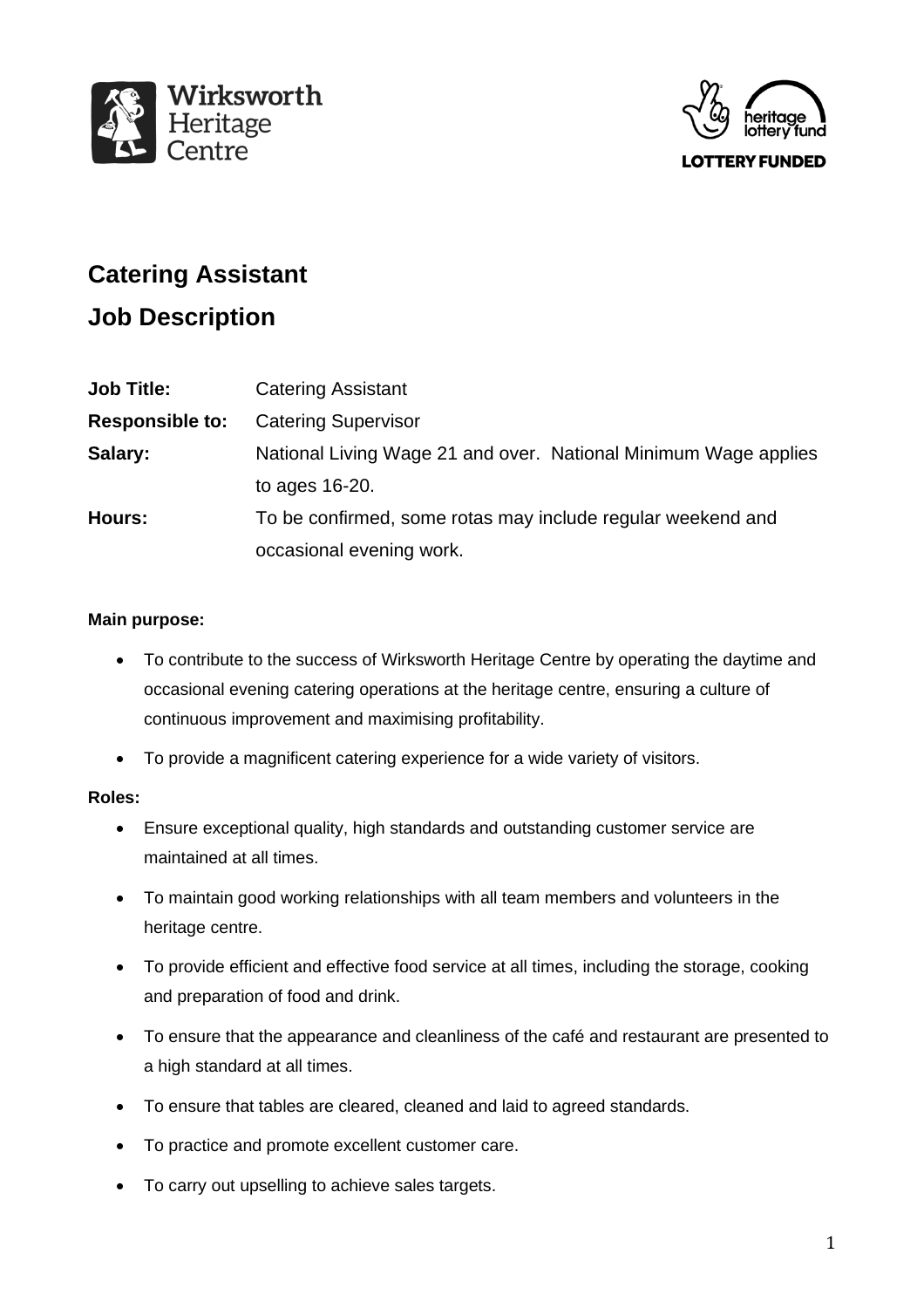



# **Catering Assistant**

## **Job Description**

| <b>Catering Assistant</b>                                       |
|-----------------------------------------------------------------|
| <b>Catering Supervisor</b>                                      |
| National Living Wage 21 and over. National Minimum Wage applies |
| to ages $16-20$ .                                               |
| To be confirmed, some rotas may include regular weekend and     |
| occasional evening work.                                        |
|                                                                 |

### **Main purpose:**

- To contribute to the success of Wirksworth Heritage Centre by operating the daytime and occasional evening catering operations at the heritage centre, ensuring a culture of continuous improvement and maximising profitability.
- To provide a magnificent catering experience for a wide variety of visitors.

#### **Roles:**

- Ensure exceptional quality, high standards and outstanding customer service are maintained at all times.
- To maintain good working relationships with all team members and volunteers in the heritage centre.
- To provide efficient and effective food service at all times, including the storage, cooking and preparation of food and drink.
- To ensure that the appearance and cleanliness of the café and restaurant are presented to a high standard at all times.
- To ensure that tables are cleared, cleaned and laid to agreed standards.
- To practice and promote excellent customer care.
- To carry out upselling to achieve sales targets.